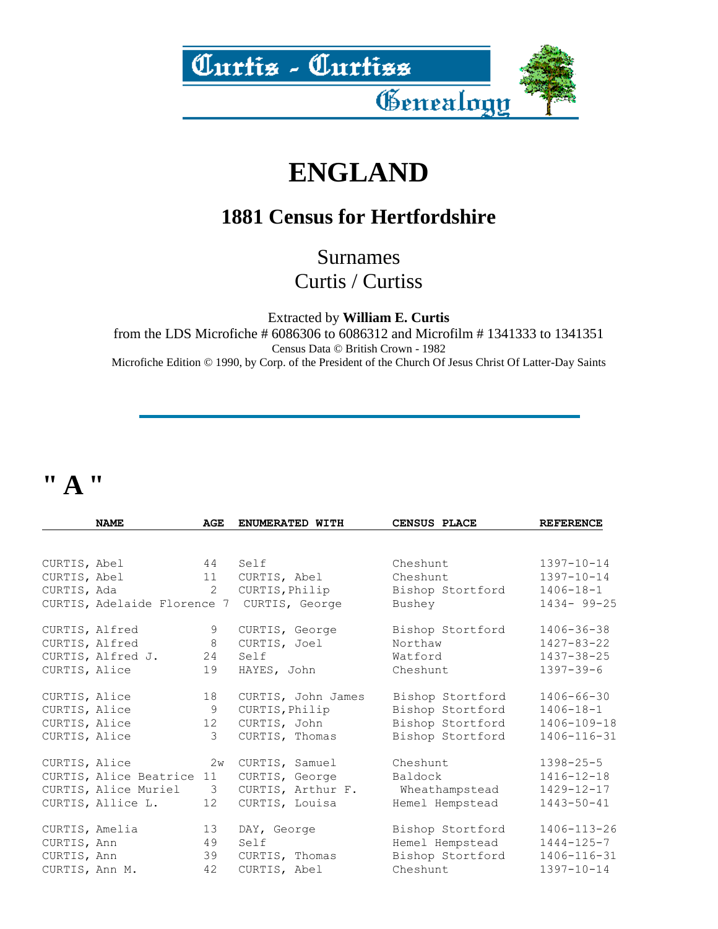

### **ENGLAND**

#### **1881 Census for Hertfordshire**

Surnames Curtis / Curtiss

Extracted by **William E. Curtis**

from the LDS Microfiche # 6086306 to 6086312 and Microfilm # 1341333 to 1341351 Census Data © British Crown - 1982 Microfiche Edition © 1990, by Corp. of the President of the Church Of Jesus Christ Of Latter-Day Saints

#### **" A "**

|                | <b>NAME</b>               | AGE                     | ENUMERATED WITH                            | CENSUS PLACE     | <b>REFERENCE</b> |
|----------------|---------------------------|-------------------------|--------------------------------------------|------------------|------------------|
|                |                           |                         |                                            |                  |                  |
| CURTIS, Abel   |                           |                         | 44 Self                                    | Cheshunt         | $1397 - 10 - 14$ |
| CURTIS, Abel   |                           | 11                      | CURTIS, Abel                               | Cheshunt         | $1397 - 10 - 14$ |
| CURTIS, Ada    |                           | $\overline{2}$          | CURTIS, Philip                             | Bishop Stortford | $1406 - 18 - 1$  |
|                |                           |                         | CURTIS, Adelaide Florence 7 CURTIS, George | Bushey           | $1434 - 99 - 25$ |
|                | CURTIS, Alfred            | 9                       | CURTIS, George                             | Bishop Stortford | $1406 - 36 - 38$ |
|                | CURTIS, Alfred            | 8                       | CURTIS, Joel                               | Northaw          | $1427 - 83 - 22$ |
|                | CURTIS, Alfred J.         | 24                      | Self                                       | Watford          | 1437-38-25       |
| CURTIS, Alice  |                           | 19                      | HAYES, John                                | Cheshunt         | $1397 - 39 - 6$  |
| CURTIS, Alice  |                           | 18                      | CURTIS, John James                         | Bishop Stortford | 1406-66-30       |
| CURTIS, Alice  |                           | 9                       | CURTIS, Philip                             | Bishop Stortford | $1406 - 18 - 1$  |
| CURTIS, Alice  |                           | 12                      | CURTIS, John                               | Bishop Stortford | 1406-109-18      |
| CURTIS, Alice  |                           | $\mathcal{S}$           | CURTIS, Thomas                             | Bishop Stortford | 1406-116-31      |
| CURTIS, Alice  |                           | 2w                      | CURTIS, Samuel                             | Cheshunt         | $1398 - 25 - 5$  |
|                | CURTIS, Alice Beatrice 11 |                         | CURTIS, George                             | Baldock          | $1416 - 12 - 18$ |
|                | CURTIS, Alice Muriel      | $\overline{\mathbf{3}}$ | CURTIS, Arthur F. Wheathampstead           |                  | $1429 - 12 - 17$ |
|                | CURTIS, Allice L.         | 12                      | CURTIS, Louisa                             | Hemel Hempstead  | $1443 - 50 - 41$ |
|                | CURTIS, Amelia            | 13                      | DAY, George                                | Bishop Stortford | 1406-113-26      |
| CURTIS, Ann    |                           | 49                      | Self                                       | Hemel Hempstead  | $1444 - 125 - 7$ |
| CURTIS, Ann    |                           | 39                      | CURTIS, Thomas                             | Bishop Stortford | 1406-116-31      |
| CURTIS, Ann M. |                           | 42                      | CURTIS, Abel                               | Cheshunt         | $1397 - 10 - 14$ |
|                |                           |                         |                                            |                  |                  |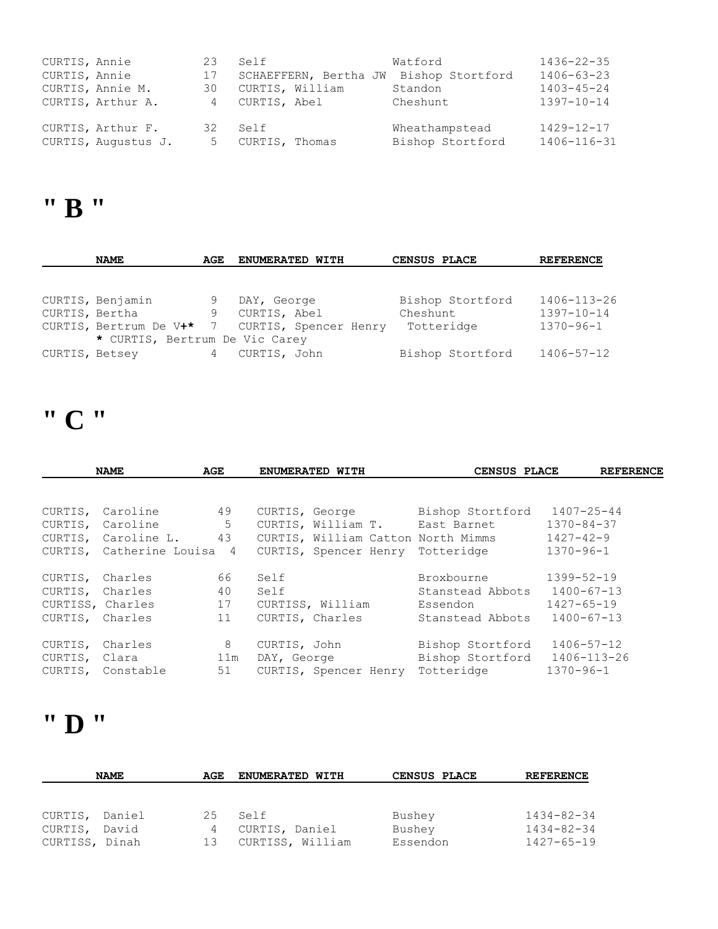| CURTIS, Annie<br>CURTIS, Annie | CURTIS, Annie M.<br>CURTIS, Arthur A.    | 23<br>17<br>30<br>4 | Self<br>SCHAEFFERN, Bertha JW<br>CURTIS, William<br>CURTIS, Abel | Watford<br>Bishop Stortford<br>Standon<br>Cheshunt | $1436 - 22 - 35$<br>$1406 - 63 - 23$<br>$1403 - 45 - 24$<br>$1397 - 10 - 14$ |
|--------------------------------|------------------------------------------|---------------------|------------------------------------------------------------------|----------------------------------------------------|------------------------------------------------------------------------------|
|                                | CURTIS, Arthur F.<br>CURTIS, Augustus J. | 5                   | 32 Self<br>CURTIS, Thomas                                        | Wheathampstead<br>Bishop Stortford                 | $1429 - 12 - 17$<br>1406-116-31                                              |

#### **" B "**

|                | <b>NAME</b>                    | AGE | ENUMERATED WITH                                | CENSUS PLACE     | <b>REFERENCE</b> |
|----------------|--------------------------------|-----|------------------------------------------------|------------------|------------------|
|                |                                |     |                                                |                  |                  |
|                |                                |     |                                                |                  |                  |
|                | CURTIS, Benjamin               | 9   | DAY, George                                    | Bishop Stortford | 1406-113-26      |
| CURTIS, Bertha |                                | 9   | CURTIS, Abel                                   | Cheshunt         | $1397 - 10 - 14$ |
|                |                                |     | CURTIS, Bertrum De V+* 7 CURTIS, Spencer Henry | Totteridge       | $1370 - 96 - 1$  |
|                | * CURTIS, Bertrum De Vic Carey |     |                                                |                  |                  |
| CURTIS, Betsey |                                | 4   | CURTIS, John                                   | Bishop Stortford | 1406-57-12       |

# **" C "**

|                  | <b>NAME</b>                | AGE |              | ENUMERATED WITH                    | CENSUS PLACE     | <b>REFERENCE</b> |
|------------------|----------------------------|-----|--------------|------------------------------------|------------------|------------------|
|                  |                            |     |              |                                    |                  |                  |
| CURTIS,          | Caroline                   | 49  |              | CURTIS, George                     | Bishop Stortford | $1407 - 25 - 44$ |
| CURTIS,          | Caroline                   | 5   |              | CURTIS, William T. East Barnet     |                  | $1370 - 84 - 37$ |
|                  | CURTIS, Caroline L.        | 43  |              | CURTIS, William Catton North Mimms |                  | $1427 - 42 - 9$  |
|                  | CURTIS, Catherine Louisa 4 |     |              | CURTIS, Spencer Henry              | Totteridge       | $1370 - 96 - 1$  |
| CURTIS,          | Charles                    | 66  | Self         |                                    | Broxbourne       | $1399 - 52 - 19$ |
| CURTIS, Charles  |                            | 40  | Self         |                                    | Stanstead Abbots | $1400 - 67 - 13$ |
| CURTISS, Charles |                            | 17  |              | CURTISS, William                   | Essendon         | $1427 - 65 - 19$ |
| CURTIS, Charles  |                            | 11  |              | CURTIS, Charles                    | Stanstead Abbots | $1400 - 67 - 13$ |
| CURTIS,          | Charles                    | 8   | CURTIS, John |                                    | Bishop Stortford | 1406-57-12       |
| CURTIS, Clara    |                            | 11m | DAY, George  |                                    | Bishop Stortford | 1406-113-26      |
|                  | CURTIS, Constable          | 51  |              | CURTIS, Spencer Henry              | Totteridge       | $1370 - 96 - 1$  |

### **" D "**

|                | <b>NAME</b> | AGE             | ENUMERATED WITH  | CENSUS PLACE | <b>REFERENCE</b> |
|----------------|-------------|-----------------|------------------|--------------|------------------|
| CURTIS, Daniel | David       | 2.5             | Self             | Bushey       | $1434 - 82 - 34$ |
| CURTIS,        |             | 4               | CURTIS, Daniel   | Bushey       | $1434 - 82 - 34$ |
| CURTISS, Dinah |             | 13 <sup>°</sup> | CURTISS, William | Essendon     | $1427 - 65 - 19$ |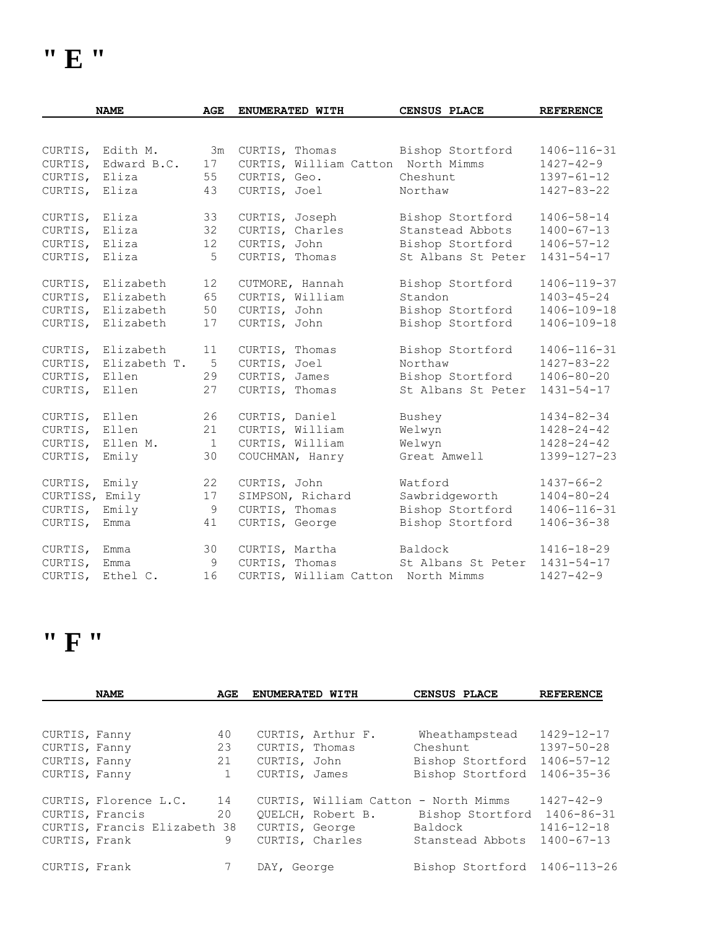|                | <b>NAME</b>      | AGE          | ENUMERATED WITH |                                    | <b>CENSUS PLACE</b> | <b>REFERENCE</b> |
|----------------|------------------|--------------|-----------------|------------------------------------|---------------------|------------------|
|                |                  |              |                 |                                    |                     |                  |
|                | CURTIS, Edith M. | 3m           | CURTIS, Thomas  |                                    | Bishop Stortford    | 1406-116-31      |
| CURTIS,        | Edward B.C.      | 17           |                 | CURTIS, William Catton North Mimms |                     | $1427 - 42 - 9$  |
| CURTIS,        | Eliza            | 55           | CURTIS, Geo.    |                                    | Cheshunt            | $1397 - 61 - 12$ |
| CURTIS,        | Eliza            | 43           |                 | CURTIS, Joel                       | Northaw             | 1427-83-22       |
| CURTIS,        | Eliza            | 33           | CURTIS, Joseph  |                                    | Bishop Stortford    | 1406-58-14       |
| CURTIS,        | Eliza            | 32           | CURTIS, Charles |                                    | Stanstead Abbots    | $1400 - 67 - 13$ |
| CURTIS, Eliza  |                  | 12           | CURTIS, John    |                                    | Bishop Stortford    | $1406 - 57 - 12$ |
| CURTIS,        | Eliza            | 5            | CURTIS, Thomas  |                                    | St Albans St Peter  | $1431 - 54 - 17$ |
| CURTIS,        | Elizabeth        | 12           | CUTMORE, Hannah |                                    | Bishop Stortford    | 1406-119-37      |
| CURTIS,        | Elizabeth        | 65           |                 | CURTIS, William                    | Standon             | $1403 - 45 - 24$ |
| CURTIS,        | Elizabeth        | 50           | CURTIS, John    |                                    | Bishop Stortford    | 1406-109-18      |
| CURTIS,        | Elizabeth        | 17           | CURTIS, John    |                                    | Bishop Stortford    | 1406-109-18      |
| CURTIS,        | Elizabeth        | 11           | CURTIS, Thomas  |                                    | Bishop Stortford    | 1406-116-31      |
| CURTIS,        | Elizabeth T.     | 5            | CURTIS, Joel    |                                    | Northaw             | 1427-83-22       |
| CURTIS,        | Ellen            | 29           | CURTIS, James   |                                    | Bishop Stortford    | $1406 - 80 - 20$ |
| CURTIS, Ellen  |                  | 27           | CURTIS, Thomas  |                                    | St Albans St Peter  | $1431 - 54 - 17$ |
| CURTIS, Ellen  |                  | 26           | CURTIS, Daniel  |                                    | Bushey              | $1434 - 82 - 34$ |
| CURTIS,        | Ellen            | 21           |                 | CURTIS, William                    | Welwyn              | $1428 - 24 - 42$ |
| CURTIS,        | Ellen M.         | $\mathbf{1}$ |                 | CURTIS, William                    | Welwyn              | $1428 - 24 - 42$ |
| CURTIS,        | Emily            | 30           |                 | COUCHMAN, Hanry                    | Great Amwell        | 1399-127-23      |
| CURTIS, Emily  |                  | 22           | CURTIS, John    |                                    | Watford             | 1437-66-2        |
| CURTISS, Emily |                  | 17           |                 | SIMPSON, Richard                   | Sawbridgeworth      | $1404 - 80 - 24$ |
| CURTIS,        | Emily            | $\mathsf 9$  | CURTIS, Thomas  |                                    | Bishop Stortford    | 1406-116-31      |
| CURTIS,        | Emma             | 41           | CURTIS, George  |                                    | Bishop Stortford    | 1406-36-38       |
| CURTIS,        | Emma             | 30           | CURTIS, Martha  |                                    | Baldock             | 1416-18-29       |
| CURTIS,        | Emma             | 9            | CURTIS, Thomas  |                                    | St Albans St Peter  | $1431 - 54 - 17$ |
|                | CURTIS, Ethel C. | 16           |                 | CURTIS, William Catton North Mimms |                     | $1427 - 42 - 9$  |

#### **" F "**

|               | <b>NAME</b>                  | AGE | ENUMERATED WITH |                                      | CENSUS PLACE                 | <b>REFERENCE</b> |  |
|---------------|------------------------------|-----|-----------------|--------------------------------------|------------------------------|------------------|--|
|               |                              |     |                 |                                      |                              |                  |  |
| CURTIS, Fanny |                              | 40  |                 | CURTIS, Arthur F.                    | Wheathampstead               | 1429-12-17       |  |
| CURTIS, Fanny |                              | 23  | CURTIS, Thomas  |                                      | Cheshunt                     | $1397 - 50 - 28$ |  |
| CURTIS, Fanny |                              | 21  | CURTIS, John    |                                      | Bishop Stortford             | $1406 - 57 - 12$ |  |
| CURTIS, Fanny |                              | 1   | CURTIS, James   |                                      | Bishop Stortford             | 1406-35-36       |  |
|               |                              |     |                 |                                      |                              |                  |  |
|               | CURTIS, Florence L.C.        | 14  |                 | CURTIS, William Catton - North Mimms |                              | $1427 - 42 - 9$  |  |
|               | CURTIS, Francis              | 20  |                 | OUELCH, Robert B.                    | Bishop Stortford 1406-86-31  |                  |  |
|               | CURTIS, Francis Elizabeth 38 |     |                 | CURTIS, George                       | Baldock                      | $1416 - 12 - 18$ |  |
| CURTIS, Frank |                              | 9   |                 | CURTIS, Charles                      | Stanstead Abbots             | $1400 - 67 - 13$ |  |
|               |                              |     |                 |                                      |                              |                  |  |
| CURTIS, Frank |                              |     | DAY, George     |                                      | Bishop Stortford 1406-113-26 |                  |  |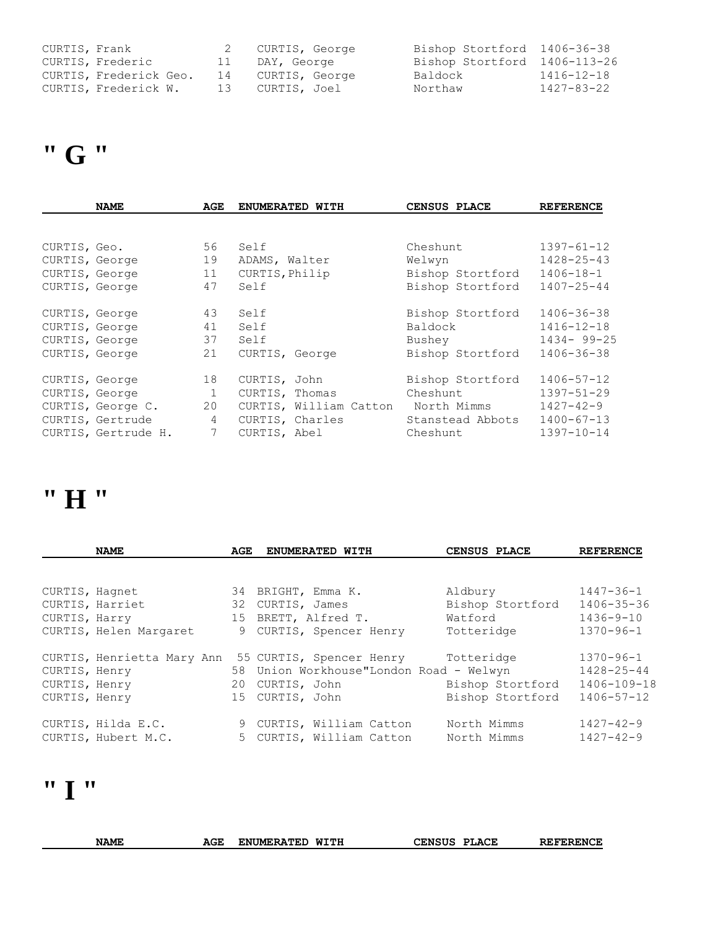| CURTIS, Frank |                        | 2 CURTIS, George  | Bishop Stortford 1406-36-38  |            |
|---------------|------------------------|-------------------|------------------------------|------------|
|               | CURTIS, Frederic       | 11 DAY, George    | Bishop Stortford 1406-113-26 |            |
|               | CURTIS, Frederick Geo. | 14 CURTIS, George | Baldock                      | 1416-12-18 |
|               | CURTIS, Frederick W.   | 13 CURTIS, Joel   | Northaw                      | 1427-83-22 |

# **" G "**

|                | <b>NAME</b>         | AGE            | ENUMERATED WITH        | CENSUS PLACE     | <b>REFERENCE</b> |
|----------------|---------------------|----------------|------------------------|------------------|------------------|
|                |                     |                |                        |                  |                  |
| CURTIS, Geo.   |                     | 56             | Self                   | Cheshunt         | $1397 - 61 - 12$ |
| CURTIS, George |                     | 19             | ADAMS, Walter          | Welwyn           | $1428 - 25 - 43$ |
| CURTIS, George |                     | 11             | CURTIS, Philip         | Bishop Stortford | $1406 - 18 - 1$  |
| CURTIS, George |                     | 47             | Self                   | Bishop Stortford | $1407 - 25 - 44$ |
| CURTIS, George |                     | 43             | Self                   | Bishop Stortford | 1406-36-38       |
| CURTIS, George |                     | 41             | Self                   | Baldock          | $1416 - 12 - 18$ |
| CURTIS, George |                     | 37             | Self                   | Bushey           | $1434 - 99 - 25$ |
| CURTIS, George |                     | 21             | CURTIS, George         | Bishop Stortford | 1406-36-38       |
| CURTIS, George |                     | 18             | CURTIS, John           | Bishop Stortford | $1406 - 57 - 12$ |
| CURTIS, George |                     | 1              | CURTIS, Thomas         | Cheshunt         | $1397 - 51 - 29$ |
|                | CURTIS, George C.   | 20             | CURTIS, William Catton | North Mimms      | $1427 - 42 - 9$  |
|                | CURTIS, Gertrude    | $\overline{4}$ | CURTIS, Charles        | Stanstead Abbots | $1400 - 67 - 13$ |
|                | CURTIS, Gertrude H. | 7              | CURTIS, Abel           | Cheshunt         | $1397 - 10 - 14$ |

### **" H "**

|               | <b>NAME</b>                | AGE | <b>ENUMERATED WITH</b>                  | CENSUS PLACE     | <b>REFERENCE</b> |
|---------------|----------------------------|-----|-----------------------------------------|------------------|------------------|
|               |                            |     |                                         |                  |                  |
|               | CURTIS, Hagnet             |     | 34 BRIGHT, Emma K.                      | Aldbury          | $1447 - 36 - 1$  |
|               | CURTIS, Harriet            |     | 32 CURTIS, James                        | Bishop Stortford | $1406 - 35 - 36$ |
| CURTIS, Harry |                            |     | 15 BRETT, Alfred T.                     | Watford          | $1436 - 9 - 10$  |
|               | CURTIS, Helen Margaret     |     | 9 CURTIS, Spencer Henry                 | Totteridge       | $1370 - 96 - 1$  |
|               | CURTIS, Henrietta Mary Ann |     | 55 CURTIS, Spencer Henry                | Totteridge       | $1370 - 96 - 1$  |
| CURTIS, Henry |                            |     | 58 Union Workhouse"London Road - Welwyn |                  | 1428-25-44       |
| CURTIS, Henry |                            |     | 20 CURTIS, John                         | Bishop Stortford | 1406-109-18      |
| CURTIS, Henry |                            |     | 15 CURTIS, John                         | Bishop Stortford | $1406 - 57 - 12$ |
|               | CURTIS, Hilda E.C.         |     | 9 CURTIS, William Catton                | North Mimms      | $1427 - 42 - 9$  |
|               | CURTIS, Hubert M.C.        |     | 5 CURTIS, William Catton                | North Mimms      | $1427 - 42 - 9$  |

#### **" I "**

| <b>NAME</b> | AGE | WITH<br>UMERATED<br>EN. | <b>LENSUS</b><br><b>PLACE</b> | <b>REFERENCE</b> |
|-------------|-----|-------------------------|-------------------------------|------------------|
|             |     |                         |                               |                  |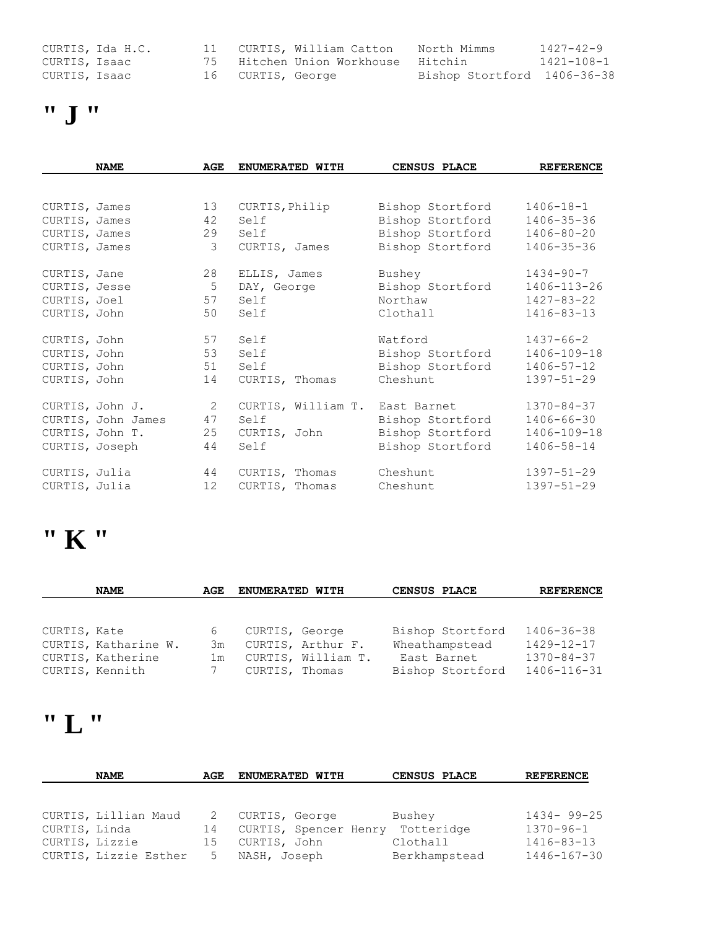|               | CURTIS, Ida H.C. |                   | 11 CURTIS, William Catton  | North Mimms                 | $1427 - 42 - 9$ |
|---------------|------------------|-------------------|----------------------------|-----------------------------|-----------------|
| CURTIS, Isaac |                  |                   | 75 Hitchen Union Workhouse | Hitchin                     | 1421-108-1      |
| CURTIS, Isaac |                  | 16 CURTIS, George |                            | Bishop Stortford 1406-36-38 |                 |

$$
"J"
$$

|               | <b>NAME</b>        | AGE             | ENUMERATED WITH    | CENSUS PLACE     | <b>REFERENCE</b> |
|---------------|--------------------|-----------------|--------------------|------------------|------------------|
|               |                    |                 |                    |                  |                  |
| CURTIS, James |                    | 13              | CURTIS, Philip     | Bishop Stortford | $1406 - 18 - 1$  |
| CURTIS, James |                    | 42              | Self               | Bishop Stortford | $1406 - 35 - 36$ |
| CURTIS, James |                    | 29              | Self               | Bishop Stortford | $1406 - 80 - 20$ |
| CURTIS, James |                    | $\mathcal{E}$   | CURTIS, James      | Bishop Stortford | $1406 - 35 - 36$ |
| CURTIS, Jane  |                    | 28              | ELLIS, James       | Bushey           | $1434 - 90 - 7$  |
| CURTIS, Jesse |                    | 5               | DAY, George        | Bishop Stortford | 1406-113-26      |
| CURTIS, Joel  |                    | 57              | Self               | Northaw          | 1427-83-22       |
| CURTIS, John  |                    | 50              | Self               | Clothall         | $1416 - 83 - 13$ |
| CURTIS, John  |                    | 57              | Self               | Watford          | $1437 - 66 - 2$  |
| CURTIS, John  |                    | 53              | Self               | Bishop Stortford | 1406-109-18      |
| CURTIS, John  |                    | 51              | Self               | Bishop Stortford | $1406 - 57 - 12$ |
| CURTIS, John  |                    | 14              | CURTIS, Thomas     | Cheshunt         | $1397 - 51 - 29$ |
|               | CURTIS, John J.    | $\overline{2}$  | CURTIS, William T. | East Barnet      | $1370 - 84 - 37$ |
|               | CURTIS, John James | 47              | Self               | Bishop Stortford | $1406 - 66 - 30$ |
|               | CURTIS, John T.    | 25              | CURTIS, John       | Bishop Stortford | 1406-109-18      |
|               | CURTIS, Joseph     | 44              | Self               | Bishop Stortford | 1406-58-14       |
| CURTIS, Julia |                    | 44              | CURTIS, Thomas     | Cheshunt         | $1397 - 51 - 29$ |
| CURTIS, Julia |                    | 12 <sup>2</sup> | CURTIS, Thomas     | Cheshunt         | $1397 - 51 - 29$ |

#### **" K "**

|              | <b>NAME</b>          | AGE | <b>ENUMERATED WITH</b> | CENSUS PLACE     | <b>REFERENCE</b> |
|--------------|----------------------|-----|------------------------|------------------|------------------|
|              |                      |     |                        |                  |                  |
|              |                      |     |                        |                  |                  |
| CURTIS, Kate |                      | 6   | CURTIS, George         | Bishop Stortford | $1406 - 36 - 38$ |
|              | CURTIS, Katharine W. | 3m  | CURTIS, Arthur F.      | Wheathampstead   | $1429 - 12 - 17$ |
|              | CURTIS, Katherine    | 1 m | CURTIS, William T.     | East Barnet      | $1370 - 84 - 37$ |
|              | CURTIS, Kennith      |     | CURTIS, Thomas         | Bishop Stortford | 1406-116-31      |

## **" L "**

|                | <b>NAME</b>           | AGE | <b>ENUMERATED WITH</b> | CENSUS PLACE  | <b>REFERENCE</b> |
|----------------|-----------------------|-----|------------------------|---------------|------------------|
|                |                       |     |                        |               |                  |
|                | CURTIS, Lillian Maud  |     | CURTIS, George         | Bushey        | $1434 - 99 - 25$ |
| CURTIS, Linda  |                       | 14  | CURTIS, Spencer Henry  | Totteridge    | $1370 - 96 - 1$  |
| CURTIS, Lizzie |                       | 15  | CURTIS, John           | Clothall      | $1416 - 83 - 13$ |
|                | CURTIS, Lizzie Esther | 5   | NASH, Joseph           | Berkhampstead | 1446-167-30      |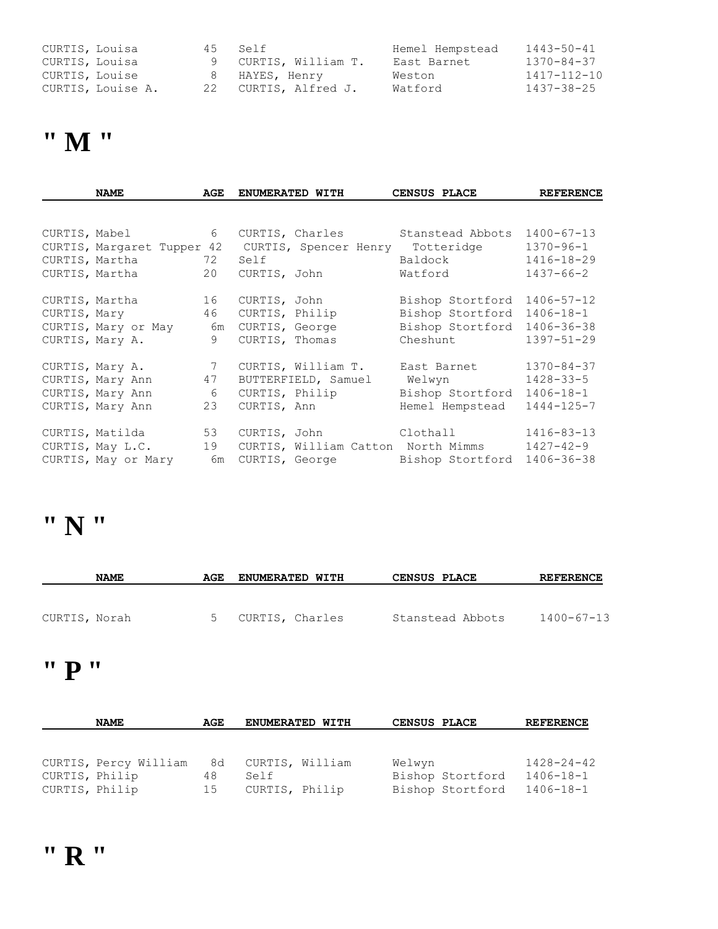| CURTIS, Louisa |                   | 45 Self |                      | Hemel Hempstead | $1443 - 50 - 41$ |
|----------------|-------------------|---------|----------------------|-----------------|------------------|
| CURTIS, Louisa |                   |         | 9 CURTIS, William T. | East Barnet     | 1370-84-37       |
| CURTIS, Louise |                   |         | 8 HAYES, Henry       | Weston          | 1417-112-10      |
|                | CURTIS, Louise A. |         | 22 CURTIS, Alfred J. | Watford         | $1437 - 38 - 25$ |

### **" M "**

| <b>NAME</b>                                                                     | AGE                              |                      | <b>ENUMERATED WITH</b>                              | CENSUS PLACE                                                                      | <b>REFERENCE</b>                                                            |
|---------------------------------------------------------------------------------|----------------------------------|----------------------|-----------------------------------------------------|-----------------------------------------------------------------------------------|-----------------------------------------------------------------------------|
|                                                                                 |                                  |                      |                                                     |                                                                                   |                                                                             |
| CURTIS, Mabel<br>CURTIS, Margaret Tupper 42<br>CURTIS, Martha<br>CURTIS, Martha | 6<br>72<br>20                    | Self<br>CURTIS, John | CURTIS, Charles<br>CURTIS, Spencer Henry Totteridge | Stanstead Abbots<br>Baldock<br>Watford                                            | $1400 - 67 - 13$<br>$1370 - 96 - 1$<br>$1416 - 18 - 29$<br>$1437 - 66 - 2$  |
| CURTIS, Martha<br>CURTIS, Mary<br>CURTIS, Mary or May<br>CURTIS, Mary A.        | 16<br>46<br>6m<br>9              | CURTIS, John         | CURTIS, Philip<br>CURTIS, George<br>CURTIS, Thomas  | Bishop Stortford<br>Bishop Stortford<br>Bishop Stortford<br>Cheshunt              | $1406 - 57 - 12$<br>$1406 - 18 - 1$<br>$1406 - 36 - 38$<br>$1397 - 51 - 29$ |
| CURTIS, Mary A.<br>CURTIS, Mary Ann<br>CURTIS, Mary Ann<br>CURTIS, Mary Ann     | $7\overline{ }$<br>47<br>6<br>23 |                      | CURTIS, William T.<br>CURTIS, Philip<br>CURTIS, Ann | East Barnet<br>BUTTERFIELD, Samuel Welwyn<br>Bishop Stortford<br>Hemel Hempstead  | $1370 - 84 - 37$<br>$1428 - 33 - 5$<br>$1406 - 18 - 1$<br>$1444 - 125 - 7$  |
| CURTIS, Matilda<br>CURTIS, May L.C.<br>CURTIS, May or Mary                      | 53<br>19<br>6m                   |                      | CURTIS, John                                        | Clothall<br>CURTIS, William Catton North Mimms<br>CURTIS, George Bishop Stortford | $1416 - 83 - 13$<br>1427-42-9<br>$1406 - 36 - 38$                           |

## **" N "**

|               | <b>NAME</b> | AGE | <b>ENUMERATED WITH</b> | <b>CENSUS PLACE</b> | <b>REFERENCE</b> |
|---------------|-------------|-----|------------------------|---------------------|------------------|
| CURTIS, Norah |             |     | CURTIS, Charles        | Stanstead Abbots    | 1400-67-13       |

#### **" P "**

|                | <b>NAME</b>           | AGE | <b>ENUMERATED WITH</b> | <b>CENSUS PLACE</b> |                  | <b>REFERENCE</b> |
|----------------|-----------------------|-----|------------------------|---------------------|------------------|------------------|
|                |                       |     |                        |                     |                  |                  |
|                |                       |     |                        |                     |                  |                  |
|                | CURTIS, Percy William |     | 8d CURTIS, William     | Welwyn              |                  | $1428 - 24 - 42$ |
| CURTIS, Philip |                       | 48  | Self                   |                     | Bishop Stortford | 1406-18-1        |
| CURTIS, Philip |                       | 15  | CURTIS, Philip         |                     | Bishop Stortford | 1406-18-1        |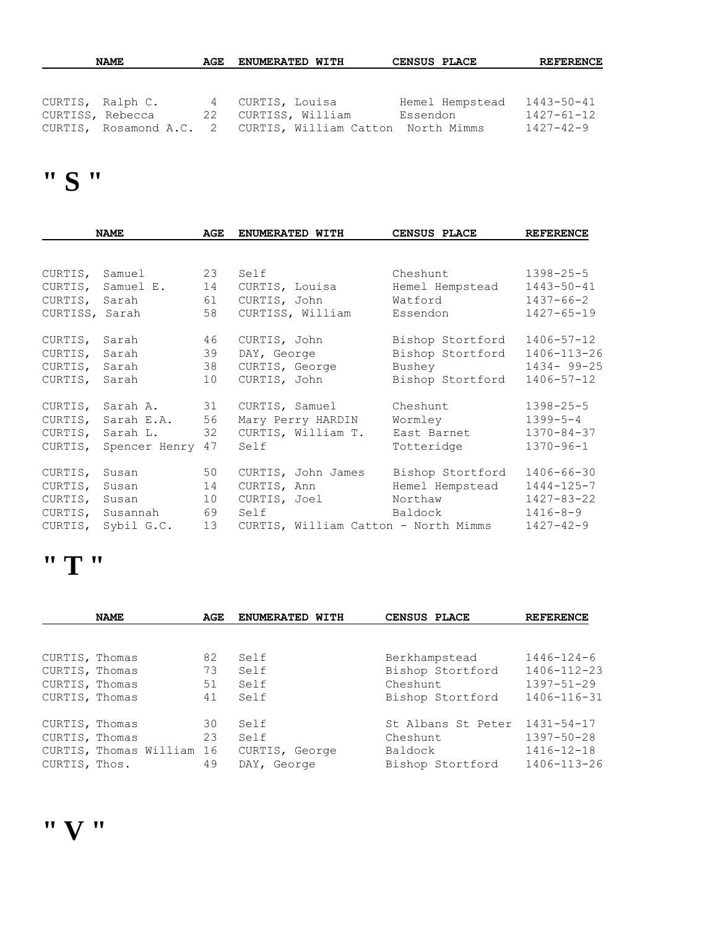|                  | <b>NAME</b>      | AGE | <b>ENUMERATED WITH</b>                                     | <b>CENSUS PLACE</b> | <b>REFERENCE</b> |
|------------------|------------------|-----|------------------------------------------------------------|---------------------|------------------|
|                  |                  |     |                                                            |                     |                  |
|                  |                  |     |                                                            |                     |                  |
|                  | CURTIS, Ralph C. | 4   | CURTIS, Louisa                                             | Hemel Hempstead     | $1443 - 50 - 41$ |
| CURTISS, Rebecca |                  | 22  | CURTISS, William                                           | Essendon            | $1427 - 61 - 12$ |
|                  |                  |     | CURTIS, Rosamond A.C. 2 CURTIS, William Catton North Mimms |                     | $1427 - 42 - 9$  |

## **" S "**

|                | <b>NAME</b>              | AGE | ENUMERATED WITH                      | <b>CENSUS PLACE</b> | <b>REFERENCE</b> |
|----------------|--------------------------|-----|--------------------------------------|---------------------|------------------|
|                |                          |     |                                      |                     |                  |
| CURTIS, Samuel | 23                       |     | Self                                 | Cheshunt            | $1398 - 25 - 5$  |
|                | CURTIS, Samuel E.        | 14  | CURTIS, Louisa                       | Hemel Hempstead     | $1443 - 50 - 41$ |
|                | CURTIS, Sarah            | 61  | CURTIS, John                         | Watford             | 1437-66-2        |
|                | CURTISS, Sarah           | 58  | CURTISS, William                     | Essendon            | $1427 - 65 - 19$ |
| CURTIS, Sarah  |                          | 46  | CURTIS, John                         | Bishop Stortford    | 1406-57-12       |
| CURTIS, Sarah  |                          | 39  | DAY, George                          | Bishop Stortford    | 1406-113-26      |
| CURTIS, Sarah  |                          | 38  | CURTIS, George                       | Bushey              | $1434 - 99 - 25$ |
| CURTIS, Sarah  |                          | 10  | CURTIS, John                         | Bishop Stortford    | 1406-57-12       |
|                | CURTIS, Sarah A. 31      |     | CURTIS, Samuel                       | Cheshunt            | $1398 - 25 - 5$  |
|                | CURTIS, Sarah E.A. 56    |     | Mary Perry HARDIN                    | Wormley             | $1399 - 5 - 4$   |
|                | CURTIS, Sarah L. 32      |     | CURTIS, William T. East Barnet       |                     | $1370 - 84 - 37$ |
|                | CURTIS, Spencer Henry 47 |     | Self                                 | Totteridge          | $1370 - 96 - 1$  |
| CURTIS, Susan  |                          | 50  | CURTIS, John James                   | Bishop Stortford    | 1406-66-30       |
| CURTIS, Susan  |                          | 14  | CURTIS, Ann                          | Hemel Hempstead     | $1444 - 125 - 7$ |
|                | CURTIS, Susan            | 10  | CURTIS, Joel Northaw                 |                     | 1427-83-22       |
|                | CURTIS, Susannah 69      |     | Self                                 | Baldock             | 1416-8-9         |
|                | CURTIS, Sybil G.C. 13    |     | CURTIS, William Catton - North Mimms |                     | $1427 - 42 - 9$  |

#### **" T "**

|                | <b>NAME</b>               |    | ENUMERATED WITH | CENSUS PLACE       | <b>REFERENCE</b> |  |
|----------------|---------------------------|----|-----------------|--------------------|------------------|--|
|                |                           |    |                 |                    |                  |  |
| CURTIS, Thomas |                           | 82 | Self            | Berkhampstead      | $1446 - 124 - 6$ |  |
| CURTIS, Thomas |                           | 73 | Self            | Bishop Stortford   | 1406-112-23      |  |
| CURTIS, Thomas |                           | 51 | Self            | Cheshunt           | 1397-51-29       |  |
| CURTIS, Thomas |                           | 41 | Self            | Bishop Stortford   | 1406-116-31      |  |
| CURTIS, Thomas |                           | 30 | Self            | St Albans St Peter | 1431-54-17       |  |
| CURTIS, Thomas |                           | 23 | Self            | Cheshunt           | $1397 - 50 - 28$ |  |
|                | CURTIS, Thomas William 16 |    | CURTIS, George  | Baldock            | 1416-12-18       |  |
| CURTIS, Thos.  |                           | 49 | DAY, George     | Bishop Stortford   | 1406-113-26      |  |